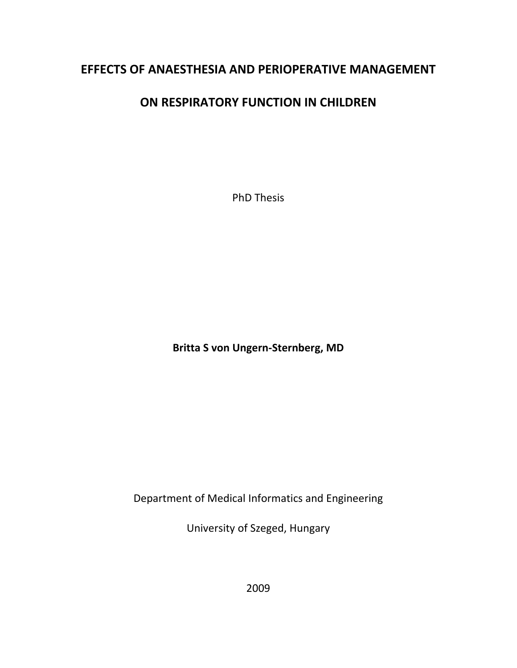# **EFFECTS OF ANAESTHESIA AND PERIOPERATIVE MANAGEMENT**

# **ON RESPIRATORY FUNCTION IN CHILDREN**

PhD Thesis

**Britta S von Ungern‐Sternberg, MD**

Department of Medical Informatics and Engineering

University of Szeged, Hungary

2009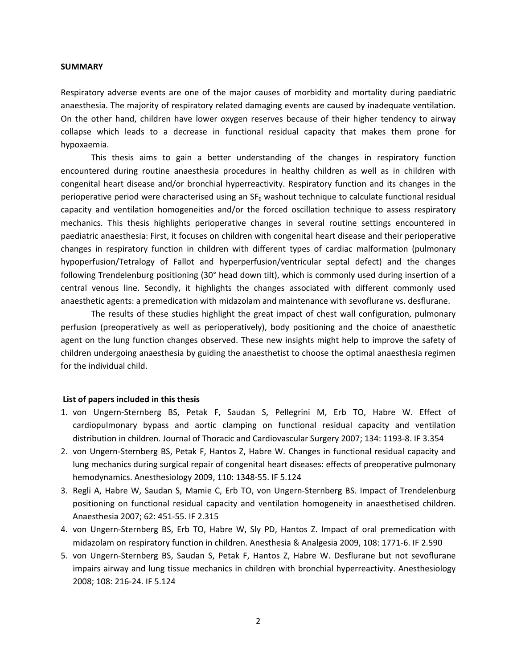### **SUMMARY**

Respiratory adverse events are one of the major causes of morbidity and mortality during paediatric anaesthesia. The majority of respiratory related damaging events are caused by inadequate ventilation. On the other hand, children have lower oxygen reserves because of their higher tendency to airway collapse which leads to a decrease in functional residual capacity that makes them prone for hypoxaemia.

This thesis aims to gain a better understanding of the changes in respiratory function encountered during routine anaesthesia procedures in healthy children as well as in children with congenital heart disease and/or bronchial hyperreactivity. Respiratory function and its changes in the perioperative period were characterised using an  $SF_6$  washout technique to calculate functional residual capacity and ventilation homogeneities and/or the forced oscillation technique to assess respiratory mechanics. This thesis highlights perioperative changes in several routine settings encountered in paediatric anaesthesia: First, it focuses on children with congenital heart disease and their perioperative changes in respiratory function in children with different types of cardiac malformation (pulmonary hypoperfusion/Tetralogy of Fallot and hyperperfusion/ventricular septal defect) and the changes following Trendelenburg positioning (30° head down tilt), which is commonly used during insertion of a central venous line. Secondly, it highlights the changes associated with different commonly used anaesthetic agents: a premedication with midazolam and maintenance with sevoflurane vs. desflurane.

The results of these studies highlight the great impact of chest wall configuration, pulmonary perfusion (preoperatively as well as perioperatively), body positioning and the choice of anaesthetic agent on the lung function changes observed. These new insights might help to improve the safety of children undergoing anaesthesia by guiding the anaesthetist to choose the optimal anaesthesia regimen for the individual child.

## **List of papers included in this thesis**

- 1. von Ungern‐Sternberg BS, Petak F, Saudan S, Pellegrini M, Erb TO, Habre W. Effect of cardiopulmonary bypass and aortic clamping on functional residual capacity and ventilation distribution in children. Journal of Thoracic and Cardiovascular Surgery 2007; 134: 1193‐8. IF 3.354
- 2. von Ungern‐Sternberg BS, Petak F, Hantos Z, Habre W. Changes in functional residual capacity and lung mechanics during surgical repair of congenital heart diseases: effects of preoperative pulmonary hemodynamics. Anesthesiology 2009, 110: 1348‐55. IF 5.124
- 3. Regli A, Habre W, Saudan S, Mamie C, Erb TO, von Ungern‐Sternberg BS. Impact of Trendelenburg positioning on functional residual capacity and ventilation homogeneity in anaesthetised children. Anaesthesia 2007; 62: 451‐55. IF 2.315
- 4. von Ungern‐Sternberg BS, Erb TO, Habre W, Sly PD, Hantos Z. Impact of oral premedication with midazolam on respiratory function in children. Anesthesia & Analgesia 2009, 108: 1771‐6. IF 2.590
- 5. von Ungern‐Sternberg BS, Saudan S, Petak F, Hantos Z, Habre W. Desflurane but not sevoflurane impairs airway and lung tissue mechanics in children with bronchial hyperreactivity. Anesthesiology 2008; 108: 216‐24. IF 5.124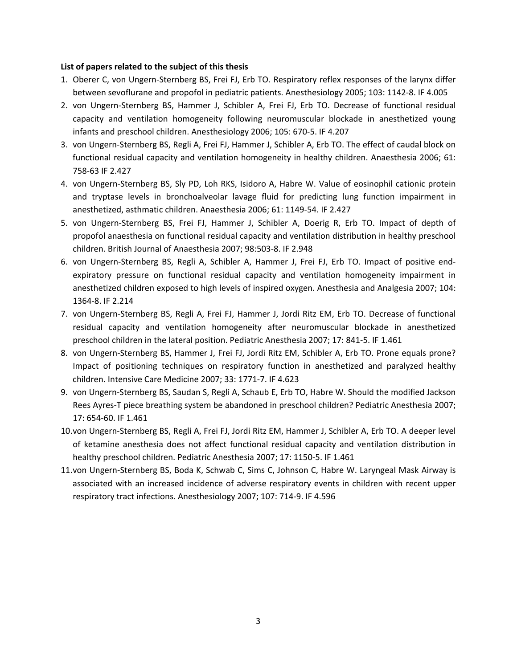# **List of papers related to the subject of this thesis**

- 1. Oberer C, von Ungern‐Sternberg BS, Frei FJ, Erb TO. Respiratory reflex responses of the larynx differ between sevoflurane and propofol in pediatric patients. Anesthesiology 2005; 103: 1142‐8. IF 4.005
- 2. von Ungern‐Sternberg BS, Hammer J, Schibler A, Frei FJ, Erb TO. Decrease of functional residual capacity and ventilation homogeneity following neuromuscular blockade in anesthetized young infants and preschool children. Anesthesiology 2006; 105: 670‐5. IF 4.207
- 3. von Ungern‐Sternberg BS, Regli A, Frei FJ, Hammer J, Schibler A, Erb TO. The effect of caudal block on functional residual capacity and ventilation homogeneity in healthy children. Anaesthesia 2006; 61: 758‐63 IF 2.427
- 4. von Ungern‐Sternberg BS, Sly PD, Loh RKS, Isidoro A, Habre W. Value of eosinophil cationic protein and tryptase levels in bronchoalveolar lavage fluid for predicting lung function impairment in anesthetized, asthmatic children. Anaesthesia 2006; 61: 1149‐54. IF 2.427
- 5. von Ungern‐Sternberg BS, Frei FJ, Hammer J, Schibler A, Doerig R, Erb TO. Impact of depth of propofol anaesthesia on functional residual capacity and ventilation distribution in healthy preschool children. British Journal of Anaesthesia 2007; 98:503‐8. IF 2.948
- 6. von Ungern‐Sternberg BS, Regli A, Schibler A, Hammer J, Frei FJ, Erb TO. Impact of positive end‐ expiratory pressure on functional residual capacity and ventilation homogeneity impairment in anesthetized children exposed to high levels of inspired oxygen. Anesthesia and Analgesia 2007; 104: 1364‐8. IF 2.214
- 7. von Ungern‐Sternberg BS, Regli A, Frei FJ, Hammer J, Jordi Ritz EM, Erb TO. Decrease of functional residual capacity and ventilation homogeneity after neuromuscular blockade in anesthetized preschool children in the lateral position. Pediatric Anesthesia 2007; 17: 841‐5. IF 1.461
- 8. von Ungern‐Sternberg BS, Hammer J, Frei FJ, Jordi Ritz EM, Schibler A, Erb TO. Prone equals prone? Impact of positioning techniques on respiratory function in anesthetized and paralyzed healthy children. Intensive Care Medicine 2007; 33: 1771‐7. IF 4.623
- 9. von Ungern‐Sternberg BS, Saudan S, Regli A, Schaub E, Erb TO, Habre W. Should the modified Jackson Rees Ayres‐T piece breathing system be abandoned in preschool children? Pediatric Anesthesia 2007; 17: 654‐60. IF 1.461
- 10.von Ungern‐Sternberg BS, Regli A, Frei FJ, Jordi Ritz EM, Hammer J, Schibler A, Erb TO. A deeper level of ketamine anesthesia does not affect functional residual capacity and ventilation distribution in healthy preschool children. Pediatric Anesthesia 2007; 17: 1150‐5. IF 1.461
- 11.von Ungern‐Sternberg BS, Boda K, Schwab C, Sims C, Johnson C, Habre W. Laryngeal Mask Airway is associated with an increased incidence of adverse respiratory events in children with recent upper respiratory tract infections. Anesthesiology 2007; 107: 714‐9. IF 4.596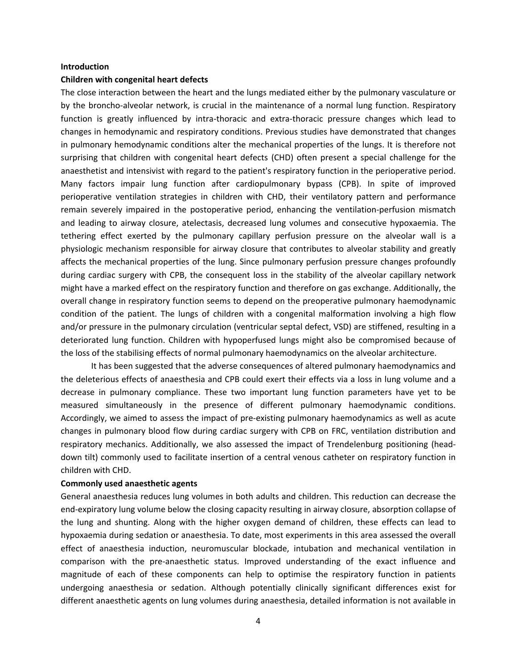### **Introduction**

## **Children with congenital heart defects**

The close interaction between the heart and the lungs mediated either by the pulmonary vasculature or by the broncho‐alveolar network, is crucial in the maintenance of a normal lung function. Respiratory function is greatly influenced by intra-thoracic and extra-thoracic pressure changes which lead to changes in hemodynamic and respiratory conditions. Previous studies have demonstrated that changes in pulmonary hemodynamic conditions alter the mechanical properties of the lungs. It is therefore not surprising that children with congenital heart defects (CHD) often present a special challenge for the anaesthetist and intensivist with regard to the patient's respiratory function in the perioperative period. Many factors impair lung function after cardiopulmonary bypass (CPB). In spite of improved perioperative ventilation strategies in children with CHD, their ventilatory pattern and performance remain severely impaired in the postoperative period, enhancing the ventilation‐perfusion mismatch and leading to airway closure, atelectasis, decreased lung volumes and consecutive hypoxaemia. The tethering effect exerted by the pulmonary capillary perfusion pressure on the alveolar wall is a physiologic mechanism responsible for airway closure that contributes to alveolar stability and greatly affects the mechanical properties of the lung. Since pulmonary perfusion pressure changes profoundly during cardiac surgery with CPB, the consequent loss in the stability of the alveolar capillary network might have a marked effect on the respiratory function and therefore on gas exchange. Additionally, the overall change in respiratory function seems to depend on the preoperative pulmonary haemodynamic condition of the patient. The lungs of children with a congenital malformation involving a high flow and/or pressure in the pulmonary circulation (ventricular septal defect, VSD) are stiffened, resulting in a deteriorated lung function. Children with hypoperfused lungs might also be compromised because of the loss of the stabilising effects of normal pulmonary haemodynamics on the alveolar architecture.

It has been suggested that the adverse consequences of altered pulmonary haemodynamics and the deleterious effects of anaesthesia and CPB could exert their effects via a loss in lung volume and a decrease in pulmonary compliance. These two important lung function parameters have yet to be measured simultaneously in the presence of different pulmonary haemodynamic conditions. Accordingly, we aimed to assess the impact of pre‐existing pulmonary haemodynamics as well as acute changes in pulmonary blood flow during cardiac surgery with CPB on FRC, ventilation distribution and respiratory mechanics. Additionally, we also assessed the impact of Trendelenburg positioning (head‐ down tilt) commonly used to facilitate insertion of a central venous catheter on respiratory function in children with CHD.

# **Commonly used anaesthetic agents**

General anaesthesia reduces lung volumes in both adults and children. This reduction can decrease the end‐expiratory lung volume below the closing capacity resulting in airway closure, absorption collapse of the lung and shunting. Along with the higher oxygen demand of children, these effects can lead to hypoxaemia during sedation or anaesthesia. To date, most experiments in this area assessed the overall effect of anaesthesia induction, neuromuscular blockade, intubation and mechanical ventilation in comparison with the pre-anaesthetic status. Improved understanding of the exact influence and magnitude of each of these components can help to optimise the respiratory function in patients undergoing anaesthesia or sedation. Although potentially clinically significant differences exist for different anaesthetic agents on lung volumes during anaesthesia, detailed information is not available in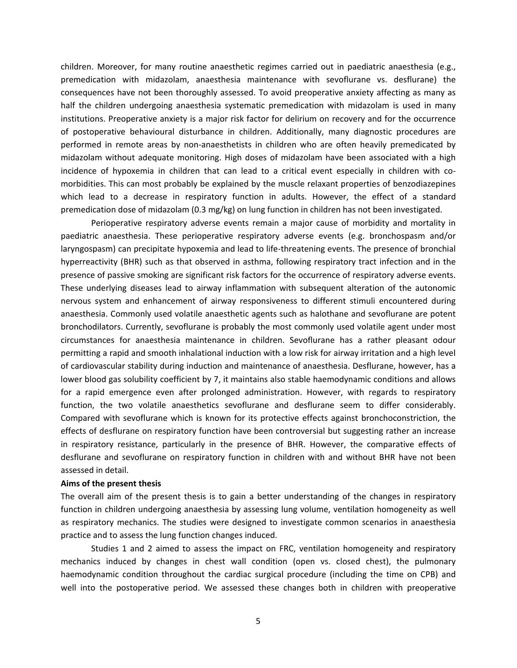children. Moreover, for many routine anaesthetic regimes carried out in paediatric anaesthesia (e.g., premedication with midazolam, anaesthesia maintenance with sevoflurane vs. desflurane) the consequences have not been thoroughly assessed. To avoid preoperative anxiety affecting as many as half the children undergoing anaesthesia systematic premedication with midazolam is used in many institutions. Preoperative anxiety is a major risk factor for delirium on recovery and for the occurrence of postoperative behavioural disturbance in children. Additionally, many diagnostic procedures are performed in remote areas by non‐anaesthetists in children who are often heavily premedicated by midazolam without adequate monitoring. High doses of midazolam have been associated with a high incidence of hypoxemia in children that can lead to a critical event especially in children with comorbidities. This can most probably be explained by the muscle relaxant properties of benzodiazepines which lead to a decrease in respiratory function in adults. However, the effect of a standard premedication dose of midazolam (0.3 mg/kg) on lung function in children has not been investigated.

Perioperative respiratory adverse events remain a major cause of morbidity and mortality in paediatric anaesthesia. These perioperative respiratory adverse events (e.g. bronchospasm and/or laryngospasm) can precipitate hypoxemia and lead to life‐threatening events. The presence of bronchial hyperreactivity (BHR) such as that observed in asthma, following respiratory tract infection and in the presence of passive smoking are significant risk factors for the occurrence of respiratory adverse events. These underlying diseases lead to airway inflammation with subsequent alteration of the autonomic nervous system and enhancement of airway responsiveness to different stimuli encountered during anaesthesia. Commonly used volatile anaesthetic agents such as halothane and sevoflurane are potent bronchodilators. Currently, sevoflurane is probably the most commonly used volatile agent under most circumstances for anaesthesia maintenance in children. Sevoflurane has a rather pleasant odour permitting a rapid and smooth inhalational induction with a low risk for airway irritation and a high level of cardiovascular stability during induction and maintenance of anaesthesia. Desflurane, however, has a lower blood gas solubility coefficient by 7, it maintains also stable haemodynamic conditions and allows for a rapid emergence even after prolonged administration. However, with regards to respiratory function, the two volatile anaesthetics sevoflurane and desflurane seem to differ considerably. Compared with sevoflurane which is known for its protective effects against bronchoconstriction, the effects of desflurane on respiratory function have been controversial but suggesting rather an increase in respiratory resistance, particularly in the presence of BHR. However, the comparative effects of desflurane and sevoflurane on respiratory function in children with and without BHR have not been assessed in detail.

## **Aims of the present thesis**

The overall aim of the present thesis is to gain a better understanding of the changes in respiratory function in children undergoing anaesthesia by assessing lung volume, ventilation homogeneity as well as respiratory mechanics. The studies were designed to investigate common scenarios in anaesthesia practice and to assess the lung function changes induced.

Studies 1 and 2 aimed to assess the impact on FRC, ventilation homogeneity and respiratory mechanics induced by changes in chest wall condition (open vs. closed chest), the pulmonary haemodynamic condition throughout the cardiac surgical procedure (including the time on CPB) and well into the postoperative period. We assessed these changes both in children with preoperative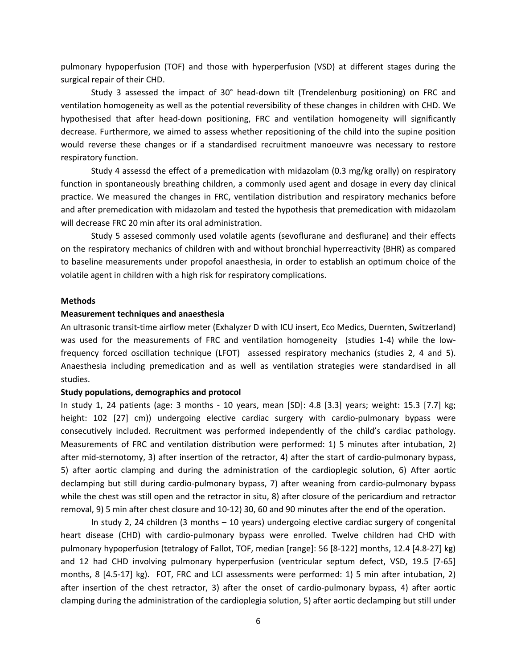pulmonary hypoperfusion (TOF) and those with hyperperfusion (VSD) at different stages during the surgical repair of their CHD.

Study 3 assessed the impact of 30° head‐down tilt (Trendelenburg positioning) on FRC and ventilation homogeneity as well as the potential reversibility of these changes in children with CHD. We hypothesised that after head-down positioning, FRC and ventilation homogeneity will significantly decrease. Furthermore, we aimed to assess whether repositioning of the child into the supine position would reverse these changes or if a standardised recruitment manoeuvre was necessary to restore respiratory function.

Study 4 assessd the effect of a premedication with midazolam (0.3 mg/kg orally) on respiratory function in spontaneously breathing children, a commonly used agent and dosage in every day clinical practice. We measured the changes in FRC, ventilation distribution and respiratory mechanics before and after premedication with midazolam and tested the hypothesis that premedication with midazolam will decrease FRC 20 min after its oral administration.

Study 5 assesed commonly used volatile agents (sevoflurane and desflurane) and their effects on the respiratory mechanics of children with and without bronchial hyperreactivity (BHR) as compared to baseline measurements under propofol anaesthesia, in order to establish an optimum choice of the volatile agent in children with a high risk for respiratory complications.

### **Methods**

#### **Measurement techniques and anaesthesia**

An ultrasonic transit‐time airflow meter (Exhalyzer D with ICU insert, Eco Medics, Duernten, Switzerland) was used for the measurements of FRC and ventilation homogeneity (studies 1-4) while the lowfrequency forced oscillation technique (LFOT) assessed respiratory mechanics (studies 2, 4 and 5). Anaesthesia including premedication and as well as ventilation strategies were standardised in all studies.

### **Study populations, demographics and protocol**

In study 1, 24 patients (age: 3 months - 10 years, mean [SD]: 4.8 [3.3] years; weight: 15.3 [7.7] kg; height: 102 [27] cm)) undergoing elective cardiac surgery with cardio-pulmonary bypass were consecutively included. Recruitment was performed independently of the child's cardiac pathology. Measurements of FRC and ventilation distribution were performed: 1) 5 minutes after intubation, 2) after mid-sternotomy, 3) after insertion of the retractor, 4) after the start of cardio-pulmonary bypass, 5) after aortic clamping and during the administration of the cardioplegic solution, 6) After aortic declamping but still during cardio‐pulmonary bypass, 7) after weaning from cardio‐pulmonary bypass while the chest was still open and the retractor in situ, 8) after closure of the pericardium and retractor removal, 9) 5 min after chest closure and 10‐12) 30, 60 and 90 minutes after the end of the operation.

In study 2, 24 children (3 months – 10 years) undergoing elective cardiac surgery of congenital heart disease (CHD) with cardio-pulmonary bypass were enrolled. Twelve children had CHD with pulmonary hypoperfusion (tetralogy of Fallot, TOF, median [range]: 56 [8‐122] months, 12.4 [4.8‐27] kg) and 12 had CHD involving pulmonary hyperperfusion (ventricular septum defect, VSD, 19.5 [7‐65] months, 8 [4.5-17] kg). FOT, FRC and LCI assessments were performed: 1) 5 min after intubation, 2) after insertion of the chest retractor, 3) after the onset of cardio‐pulmonary bypass, 4) after aortic clamping during the administration of the cardioplegia solution, 5) after aortic declamping but still under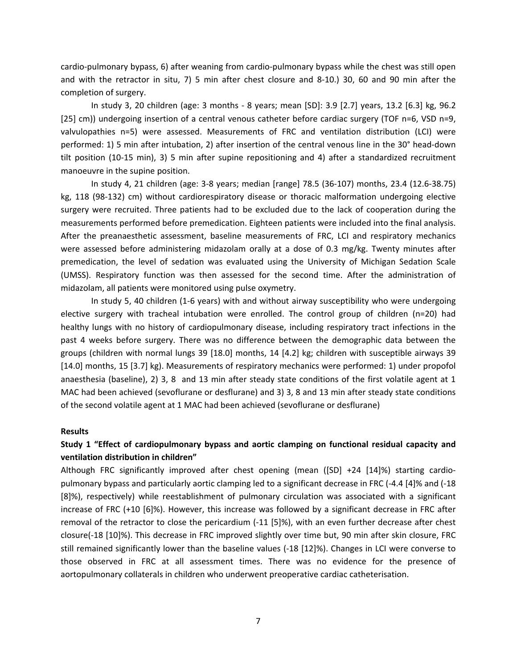cardio‐pulmonary bypass, 6) after weaning from cardio‐pulmonary bypass while the chest was still open and with the retractor in situ, 7) 5 min after chest closure and 8‐10.) 30, 60 and 90 min after the completion of surgery.

In study 3, 20 children (age: 3 months ‐ 8 years; mean [SD]: 3.9 [2.7] years, 13.2 [6.3] kg, 96.2 [25] cm)) undergoing insertion of a central venous catheter before cardiac surgery (TOF n=6, VSD n=9, valvulopathies n=5) were assessed. Measurements of FRC and ventilation distribution (LCI) were performed: 1) 5 min after intubation, 2) after insertion of the central venous line in the 30° head‐down tilt position (10‐15 min), 3) 5 min after supine repositioning and 4) after a standardized recruitment manoeuvre in the supine position.

In study 4, 21 children (age: 3‐8 years; median [range] 78.5 (36‐107) months, 23.4 (12.6‐38.75) kg, 118 (98-132) cm) without cardiorespiratory disease or thoracic malformation undergoing elective surgery were recruited. Three patients had to be excluded due to the lack of cooperation during the measurements performed before premedication. Eighteen patients were included into the final analysis. After the preanaesthetic assessment, baseline measurements of FRC, LCI and respiratory mechanics were assessed before administering midazolam orally at a dose of 0.3 mg/kg. Twenty minutes after premedication, the level of sedation was evaluated using the University of Michigan Sedation Scale (UMSS). Respiratory function was then assessed for the second time. After the administration of midazolam, all patients were monitored using pulse oxymetry.

In study 5, 40 children (1‐6 years) with and without airway susceptibility who were undergoing elective surgery with tracheal intubation were enrolled. The control group of children (n=20) had healthy lungs with no history of cardiopulmonary disease, including respiratory tract infections in the past 4 weeks before surgery. There was no difference between the demographic data between the groups (children with normal lungs 39 [18.0] months, 14 [4.2] kg; children with susceptible airways 39 [14.0] months, 15 [3.7] kg). Measurements of respiratory mechanics were performed: 1) under propofol anaesthesia (baseline), 2) 3, 8 and 13 min after steady state conditions of the first volatile agent at 1 MAC had been achieved (sevoflurane or desflurane) and 3) 3, 8 and 13 min after steady state conditions of the second volatile agent at 1 MAC had been achieved (sevoflurane or desflurane)

# **Results**

# **Study 1 "Effect of cardiopulmonary bypass and aortic clamping on functional residual capacity and ventilation distribution in children"**

Although FRC significantly improved after chest opening (mean ([SD] +24 [14]%) starting cardio‐ pulmonary bypass and particularly aortic clamping led to a significant decrease in FRC (‐4.4 [4]% and (‐18 [8]%), respectively) while reestablishment of pulmonary circulation was associated with a significant increase of FRC (+10 [6]%). However, this increase was followed by a significant decrease in FRC after removal of the retractor to close the pericardium (‐11 [5]%), with an even further decrease after chest closure(‐18 [10]%). This decrease in FRC improved slightly over time but, 90 min after skin closure, FRC still remained significantly lower than the baseline values (‐18 [12]%). Changes in LCI were converse to those observed in FRC at all assessment times. There was no evidence for the presence of aortopulmonary collaterals in children who underwent preoperative cardiac catheterisation.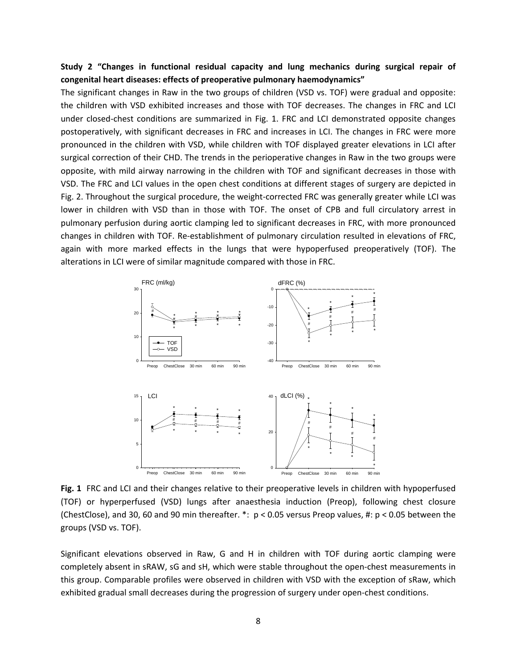# **Study 2 "Changes in functional residual capacity and lung mechanics during surgical repair of congenital heart diseases: effects of preoperative pulmonary haemodynamics"**

The significant changes in Raw in the two groups of children (VSD vs. TOF) were gradual and opposite: the children with VSD exhibited increases and those with TOF decreases. The changes in FRC and LCI under closed‐chest conditions are summarized in Fig. 1. FRC and LCI demonstrated opposite changes postoperatively, with significant decreases in FRC and increases in LCI. The changes in FRC were more pronounced in the children with VSD, while children with TOF displayed greater elevations in LCI after surgical correction of their CHD. The trends in the perioperative changes in Raw in the two groups were opposite, with mild airway narrowing in the children with TOF and significant decreases in those with VSD. The FRC and LCI values in the open chest conditions at different stages of surgery are depicted in Fig. 2. Throughout the surgical procedure, the weight-corrected FRC was generally greater while LCI was lower in children with VSD than in those with TOF. The onset of CPB and full circulatory arrest in pulmonary perfusion during aortic clamping led to significant decreases in FRC, with more pronounced changes in children with TOF. Re‐establishment of pulmonary circulation resulted in elevations of FRC, again with more marked effects in the lungs that were hypoperfused preoperatively (TOF). The alterations in LCI were of similar magnitude compared with those in FRC.



**Fig. 1** FRC and LCI and their changes relative to their preoperative levels in children with hypoperfused (TOF) or hyperperfused (VSD) lungs after anaesthesia induction (Preop), following chest closure (ChestClose), and 30, 60 and 90 min thereafter.  $*: p < 0.05$  versus Preop values, #:  $p < 0.05$  between the groups (VSD vs. TOF).

Significant elevations observed in Raw, G and H in children with TOF during aortic clamping were completely absent in sRAW, sG and sH, which were stable throughout the open‐chest measurements in this group. Comparable profiles were observed in children with VSD with the exception of sRaw, which exhibited gradual small decreases during the progression of surgery under open‐chest conditions.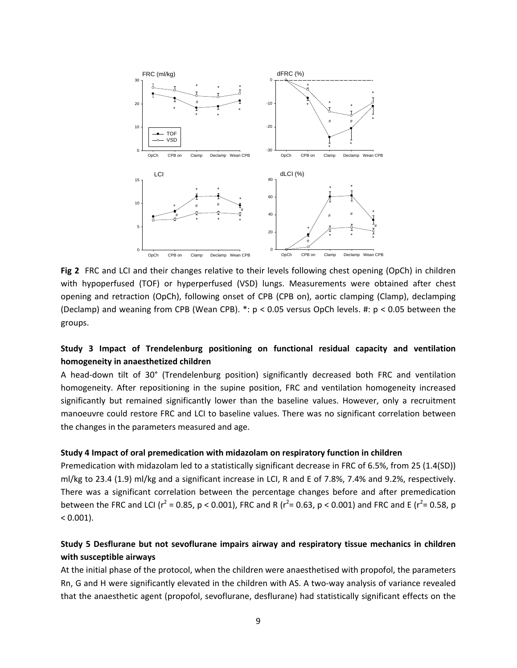

**Fig 2** FRC and LCI and their changes relative to their levels following chest opening (OpCh) in children with hypoperfused (TOF) or hyperperfused (VSD) lungs. Measurements were obtained after chest opening and retraction (OpCh), following onset of CPB (CPB on), aortic clamping (Clamp), declamping (Declamp) and weaning from CPB (Wean CPB). \*: p < 0.05 versus OpCh levels. #: p < 0.05 between the groups.

# **Study 3 Impact of Trendelenburg positioning on functional residual capacity and ventilation homogeneity in anaesthetized children**

A head‐down tilt of 30° (Trendelenburg position) significantly decreased both FRC and ventilation homogeneity. After repositioning in the supine position, FRC and ventilation homogeneity increased significantly but remained significantly lower than the baseline values. However, only a recruitment manoeuvre could restore FRC and LCI to baseline values. There was no significant correlation between the changes in the parameters measured and age.

## **Study 4 Impact of oral premedication with midazolam on respiratory function in children**

Premedication with midazolam led to a statistically significant decrease in FRC of 6.5%, from 25 (1.4(SD)) ml/kg to 23.4 (1.9) ml/kg and a significant increase in LCI, R and E of 7.8%, 7.4% and 9.2%, respectively. There was a significant correlation between the percentage changes before and after premedication between the FRC and LCI ( $r^2$  = 0.85, p < 0.001), FRC and R ( $r^2$ = 0.63, p < 0.001) and FRC and E ( $r^2$ = 0.58, p  $< 0.001$ ).

# **Study 5 Desflurane but not sevoflurane impairs airway and respiratory tissue mechanics in children with susceptible airways**

At the initial phase of the protocol, when the children were anaesthetised with propofol, the parameters Rn, G and H were significantly elevated in the children with AS. A two-way analysis of variance revealed that the anaesthetic agent (propofol, sevoflurane, desflurane) had statistically significant effects on the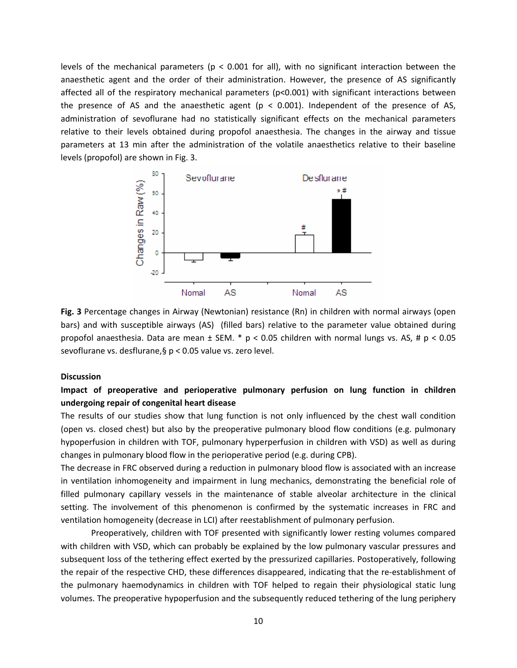levels of the mechanical parameters ( $p < 0.001$  for all), with no significant interaction between the anaesthetic agent and the order of their administration. However, the presence of AS significantly affected all of the respiratory mechanical parameters (p<0.001) with significant interactions between the presence of AS and the anaesthetic agent ( $p < 0.001$ ). Independent of the presence of AS, administration of sevoflurane had no statistically significant effects on the mechanical parameters relative to their levels obtained during propofol anaesthesia. The changes in the airway and tissue parameters at 13 min after the administration of the volatile anaesthetics relative to their baseline levels (propofol) are shown in Fig. 3.



**Fig. 3** Percentage changes in Airway (Newtonian) resistance (Rn) in children with normal airways (open bars) and with susceptible airways (AS) (filled bars) relative to the parameter value obtained during propofol anaesthesia. Data are mean ± SEM. \* p < 0.05 children with normal lungs vs. AS, # p < 0.05 sevoflurane vs. desflurane,§ p < 0.05 value vs. zero level.

# **Discussion**

# **Impact of preoperative and perioperative pulmonary perfusion on lung function in children undergoing repair of congenital heart disease**

The results of our studies show that lung function is not only influenced by the chest wall condition (open vs. closed chest) but also by the preoperative pulmonary blood flow conditions (e.g. pulmonary hypoperfusion in children with TOF, pulmonary hyperperfusion in children with VSD) as well as during changes in pulmonary blood flow in the perioperative period (e.g. during CPB).

The decrease in FRC observed during a reduction in pulmonary blood flow is associated with an increase in ventilation inhomogeneity and impairment in lung mechanics, demonstrating the beneficial role of filled pulmonary capillary vessels in the maintenance of stable alveolar architecture in the clinical setting. The involvement of this phenomenon is confirmed by the systematic increases in FRC and ventilation homogeneity (decrease in LCI) after reestablishment of pulmonary perfusion.

Preoperatively, children with TOF presented with significantly lower resting volumes compared with children with VSD, which can probably be explained by the low pulmonary vascular pressures and subsequent loss of the tethering effect exerted by the pressurized capillaries. Postoperatively, following the repair of the respective CHD, these differences disappeared, indicating that the re‐establishment of the pulmonary haemodynamics in children with TOF helped to regain their physiological static lung volumes. The preoperative hypoperfusion and the subsequently reduced tethering of the lung periphery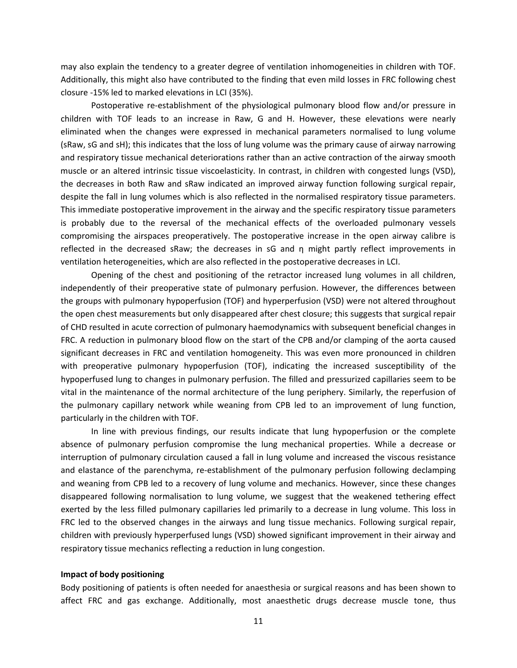may also explain the tendency to a greater degree of ventilation inhomogeneities in children with TOF. Additionally, this might also have contributed to the finding that even mild losses in FRC following chest closure ‐15% led to marked elevations in LCI (35%).

Postoperative re‐establishment of the physiological pulmonary blood flow and/or pressure in children with TOF leads to an increase in Raw, G and H. However, these elevations were nearly eliminated when the changes were expressed in mechanical parameters normalised to lung volume (sRaw, sG and sH); this indicates that the loss of lung volume was the primary cause of airway narrowing and respiratory tissue mechanical deteriorations rather than an active contraction of the airway smooth muscle or an altered intrinsic tissue viscoelasticity. In contrast, in children with congested lungs (VSD), the decreases in both Raw and sRaw indicated an improved airway function following surgical repair, despite the fall in lung volumes which is also reflected in the normalised respiratory tissue parameters. This immediate postoperative improvement in the airway and the specific respiratory tissue parameters is probably due to the reversal of the mechanical effects of the overloaded pulmonary vessels compromising the airspaces preoperatively. The postoperative increase in the open airway calibre is reflected in the decreased sRaw; the decreases in sG and η might partly reflect improvements in ventilation heterogeneities, which are also reflected in the postoperative decreases in LCI.

Opening of the chest and positioning of the retractor increased lung volumes in all children, independently of their preoperative state of pulmonary perfusion. However, the differences between the groups with pulmonary hypoperfusion (TOF) and hyperperfusion (VSD) were not altered throughout the open chest measurements but only disappeared after chest closure; this suggests that surgical repair of CHD resulted in acute correction of pulmonary haemodynamics with subsequent beneficial changes in FRC. A reduction in pulmonary blood flow on the start of the CPB and/or clamping of the aorta caused significant decreases in FRC and ventilation homogeneity. This was even more pronounced in children with preoperative pulmonary hypoperfusion (TOF), indicating the increased susceptibility of the hypoperfused lung to changes in pulmonary perfusion. The filled and pressurized capillaries seem to be vital in the maintenance of the normal architecture of the lung periphery. Similarly, the reperfusion of the pulmonary capillary network while weaning from CPB led to an improvement of lung function, particularly in the children with TOF.

In line with previous findings, our results indicate that lung hypoperfusion or the complete absence of pulmonary perfusion compromise the lung mechanical properties. While a decrease or interruption of pulmonary circulation caused a fall in lung volume and increased the viscous resistance and elastance of the parenchyma, re-establishment of the pulmonary perfusion following declamping and weaning from CPB led to a recovery of lung volume and mechanics. However, since these changes disappeared following normalisation to lung volume, we suggest that the weakened tethering effect exerted by the less filled pulmonary capillaries led primarily to a decrease in lung volume. This loss in FRC led to the observed changes in the airways and lung tissue mechanics. Following surgical repair, children with previously hyperperfused lungs (VSD) showed significant improvement in their airway and respiratory tissue mechanics reflecting a reduction in lung congestion.

# **Impact of body positioning**

Body positioning of patients is often needed for anaesthesia or surgical reasons and has been shown to affect FRC and gas exchange. Additionally, most anaesthetic drugs decrease muscle tone, thus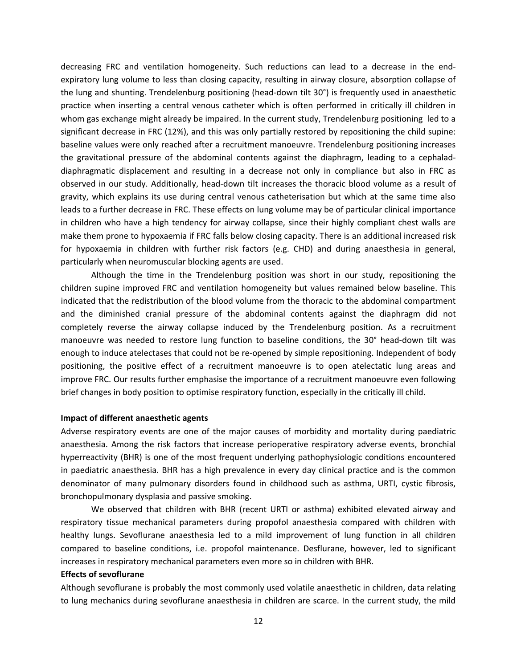decreasing FRC and ventilation homogeneity. Such reductions can lead to a decrease in the end‐ expiratory lung volume to less than closing capacity, resulting in airway closure, absorption collapse of the lung and shunting. Trendelenburg positioning (head‐down tilt 30°) is frequently used in anaesthetic practice when inserting a central venous catheter which is often performed in critically ill children in whom gas exchange might already be impaired. In the current study, Trendelenburg positioning led to a significant decrease in FRC (12%), and this was only partially restored by repositioning the child supine: baseline values were only reached after a recruitment manoeuvre. Trendelenburg positioning increases the gravitational pressure of the abdominal contents against the diaphragm, leading to a cephalad‐ diaphragmatic displacement and resulting in a decrease not only in compliance but also in FRC as observed in our study. Additionally, head‐down tilt increases the thoracic blood volume as a result of gravity, which explains its use during central venous catheterisation but which at the same time also leads to a further decrease in FRC. These effects on lung volume may be of particular clinical importance in children who have a high tendency for airway collapse, since their highly compliant chest walls are make them prone to hypoxaemia if FRC falls below closing capacity. There is an additional increased risk for hypoxaemia in children with further risk factors (e.g. CHD) and during anaesthesia in general, particularly when neuromuscular blocking agents are used.

Although the time in the Trendelenburg position was short in our study, repositioning the children supine improved FRC and ventilation homogeneity but values remained below baseline. This indicated that the redistribution of the blood volume from the thoracic to the abdominal compartment and the diminished cranial pressure of the abdominal contents against the diaphragm did not completely reverse the airway collapse induced by the Trendelenburg position. As a recruitment manoeuvre was needed to restore lung function to baseline conditions, the 30° head-down tilt was enough to induce atelectases that could not be re-opened by simple repositioning. Independent of body positioning, the positive effect of a recruitment manoeuvre is to open atelectatic lung areas and improve FRC. Our results further emphasise the importance of a recruitment manoeuvre even following brief changes in body position to optimise respiratory function, especially in the critically ill child.

#### **Impact of different anaesthetic agents**

Adverse respiratory events are one of the major causes of morbidity and mortality during paediatric anaesthesia. Among the risk factors that increase perioperative respiratory adverse events, bronchial hyperreactivity (BHR) is one of the most frequent underlying pathophysiologic conditions encountered in paediatric anaesthesia. BHR has a high prevalence in every day clinical practice and is the common denominator of many pulmonary disorders found in childhood such as asthma, URTI, cystic fibrosis, bronchopulmonary dysplasia and passive smoking.

We observed that children with BHR (recent URTI or asthma) exhibited elevated airway and respiratory tissue mechanical parameters during propofol anaesthesia compared with children with healthy lungs. Sevoflurane anaesthesia led to a mild improvement of lung function in all children compared to baseline conditions, i.e. propofol maintenance. Desflurane, however, led to significant increases in respiratory mechanical parameters even more so in children with BHR.

### **Effects of sevoflurane**

Although sevoflurane is probably the most commonly used volatile anaesthetic in children, data relating to lung mechanics during sevoflurane anaesthesia in children are scarce. In the current study, the mild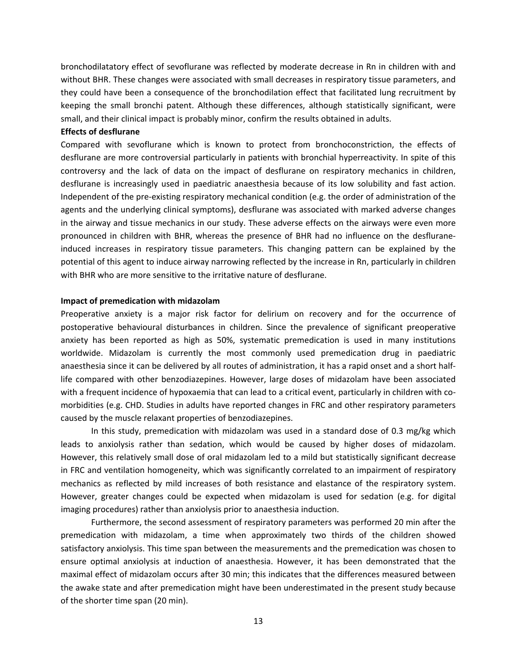bronchodilatatory effect of sevoflurane was reflected by moderate decrease in Rn in children with and without BHR. These changes were associated with small decreases in respiratory tissue parameters, and they could have been a consequence of the bronchodilation effect that facilitated lung recruitment by keeping the small bronchi patent. Although these differences, although statistically significant, were small, and their clinical impact is probably minor, confirm the results obtained in adults.

## **Effects of desflurane**

Compared with sevoflurane which is known to protect from bronchoconstriction, the effects of desflurane are more controversial particularly in patients with bronchial hyperreactivity. In spite of this controversy and the lack of data on the impact of desflurane on respiratory mechanics in children, desflurane is increasingly used in paediatric anaesthesia because of its low solubility and fast action. Independent of the pre‐existing respiratory mechanical condition (e.g. the order of administration of the agents and the underlying clinical symptoms), desflurane was associated with marked adverse changes in the airway and tissue mechanics in our study. These adverse effects on the airways were even more pronounced in children with BHR, whereas the presence of BHR had no influence on the desflurane‐ induced increases in respiratory tissue parameters. This changing pattern can be explained by the potential of this agent to induce airway narrowing reflected by the increase in Rn, particularly in children with BHR who are more sensitive to the irritative nature of desflurane.

# **Impact of premedication with midazolam**

Preoperative anxiety is a major risk factor for delirium on recovery and for the occurrence of postoperative behavioural disturbances in children. Since the prevalence of significant preoperative anxiety has been reported as high as 50%, systematic premedication is used in many institutions worldwide. Midazolam is currently the most commonly used premedication drug in paediatric anaesthesia since it can be delivered by all routes of administration, it has a rapid onset and a short half‐ life compared with other benzodiazepines. However, large doses of midazolam have been associated with a frequent incidence of hypoxaemia that can lead to a critical event, particularly in children with comorbidities (e.g. CHD. Studies in adults have reported changes in FRC and other respiratory parameters caused by the muscle relaxant properties of benzodiazepines.

In this study, premedication with midazolam was used in a standard dose of 0.3 mg/kg which leads to anxiolysis rather than sedation, which would be caused by higher doses of midazolam. However, this relatively small dose of oral midazolam led to a mild but statistically significant decrease in FRC and ventilation homogeneity, which was significantly correlated to an impairment of respiratory mechanics as reflected by mild increases of both resistance and elastance of the respiratory system. However, greater changes could be expected when midazolam is used for sedation (e.g. for digital imaging procedures) rather than anxiolysis prior to anaesthesia induction.

Furthermore, the second assessment of respiratory parameters was performed 20 min after the premedication with midazolam, a time when approximately two thirds of the children showed satisfactory anxiolysis. This time span between the measurements and the premedication was chosen to ensure optimal anxiolysis at induction of anaesthesia. However, it has been demonstrated that the maximal effect of midazolam occurs after 30 min; this indicates that the differences measured between the awake state and after premedication might have been underestimated in the present study because of the shorter time span (20 min).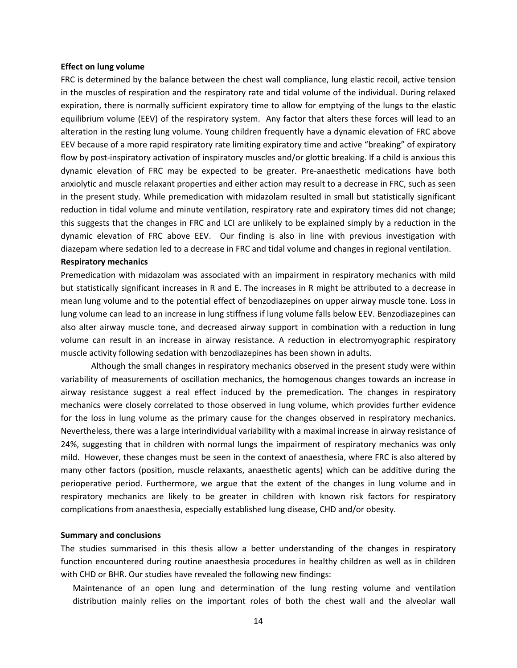#### **Effect on lung volume**

FRC is determined by the balance between the chest wall compliance, lung elastic recoil, active tension in the muscles of respiration and the respiratory rate and tidal volume of the individual. During relaxed expiration, there is normally sufficient expiratory time to allow for emptying of the lungs to the elastic equilibrium volume (EEV) of the respiratory system. Any factor that alters these forces will lead to an alteration in the resting lung volume. Young children frequently have a dynamic elevation of FRC above EEV because of a more rapid respiratory rate limiting expiratory time and active "breaking" of expiratory flow by post-inspiratory activation of inspiratory muscles and/or glottic breaking. If a child is anxious this dynamic elevation of FRC may be expected to be greater. Pre‐anaesthetic medications have both anxiolytic and muscle relaxant properties and either action may result to a decrease in FRC, such as seen in the present study. While premedication with midazolam resulted in small but statistically significant reduction in tidal volume and minute ventilation, respiratory rate and expiratory times did not change; this suggests that the changes in FRC and LCI are unlikely to be explained simply by a reduction in the dynamic elevation of FRC above EEV. Our finding is also in line with previous investigation with diazepam where sedation led to a decrease in FRC and tidal volume and changes in regional ventilation.

# **Respiratory mechanics**

Premedication with midazolam was associated with an impairment in respiratory mechanics with mild but statistically significant increases in R and E. The increases in R might be attributed to a decrease in mean lung volume and to the potential effect of benzodiazepines on upper airway muscle tone. Loss in lung volume can lead to an increase in lung stiffness if lung volume falls below EEV. Benzodiazepines can also alter airway muscle tone, and decreased airway support in combination with a reduction in lung volume can result in an increase in airway resistance. A reduction in electromyographic respiratory muscle activity following sedation with benzodiazepines has been shown in adults.

Although the small changes in respiratory mechanics observed in the present study were within variability of measurements of oscillation mechanics, the homogenous changes towards an increase in airway resistance suggest a real effect induced by the premedication. The changes in respiratory mechanics were closely correlated to those observed in lung volume, which provides further evidence for the loss in lung volume as the primary cause for the changes observed in respiratory mechanics. Nevertheless, there was a large interindividual variability with a maximal increase in airway resistance of 24%, suggesting that in children with normal lungs the impairment of respiratory mechanics was only mild. However, these changes must be seen in the context of anaesthesia, where FRC is also altered by many other factors (position, muscle relaxants, anaesthetic agents) which can be additive during the perioperative period. Furthermore, we argue that the extent of the changes in lung volume and in respiratory mechanics are likely to be greater in children with known risk factors for respiratory complications from anaesthesia, especially established lung disease, CHD and/or obesity.

# **Summary and conclusions**

The studies summarised in this thesis allow a better understanding of the changes in respiratory function encountered during routine anaesthesia procedures in healthy children as well as in children with CHD or BHR. Our studies have revealed the following new findings:

Maintenance of an open lung and determination of the lung resting volume and ventilation distribution mainly relies on the important roles of both the chest wall and the alveolar wall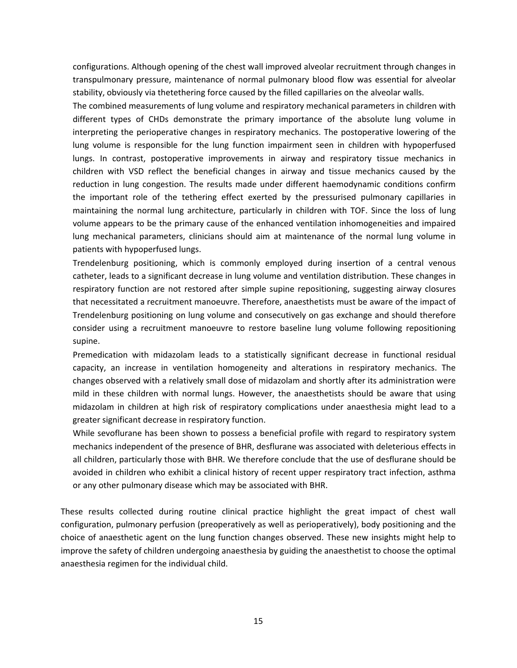configurations. Although opening of the chest wall improved alveolar recruitment through changes in transpulmonary pressure, maintenance of normal pulmonary blood flow was essential for alveolar stability, obviously via thetethering force caused by the filled capillaries on the alveolar walls.

The combined measurements of lung volume and respiratory mechanical parameters in children with different types of CHDs demonstrate the primary importance of the absolute lung volume in interpreting the perioperative changes in respiratory mechanics. The postoperative lowering of the lung volume is responsible for the lung function impairment seen in children with hypoperfused lungs. In contrast, postoperative improvements in airway and respiratory tissue mechanics in children with VSD reflect the beneficial changes in airway and tissue mechanics caused by the reduction in lung congestion. The results made under different haemodynamic conditions confirm the important role of the tethering effect exerted by the pressurised pulmonary capillaries in maintaining the normal lung architecture, particularly in children with TOF. Since the loss of lung volume appears to be the primary cause of the enhanced ventilation inhomogeneities and impaired lung mechanical parameters, clinicians should aim at maintenance of the normal lung volume in patients with hypoperfused lungs.

Trendelenburg positioning, which is commonly employed during insertion of a central venous catheter, leads to a significant decrease in lung volume and ventilation distribution. These changes in respiratory function are not restored after simple supine repositioning, suggesting airway closures that necessitated a recruitment manoeuvre. Therefore, anaesthetists must be aware of the impact of Trendelenburg positioning on lung volume and consecutively on gas exchange and should therefore consider using a recruitment manoeuvre to restore baseline lung volume following repositioning supine.

Premedication with midazolam leads to a statistically significant decrease in functional residual capacity, an increase in ventilation homogeneity and alterations in respiratory mechanics. The changes observed with a relatively small dose of midazolam and shortly after its administration were mild in these children with normal lungs. However, the anaesthetists should be aware that using midazolam in children at high risk of respiratory complications under anaesthesia might lead to a greater significant decrease in respiratory function.

While sevoflurane has been shown to possess a beneficial profile with regard to respiratory system mechanics independent of the presence of BHR, desflurane was associated with deleterious effects in all children, particularly those with BHR. We therefore conclude that the use of desflurane should be avoided in children who exhibit a clinical history of recent upper respiratory tract infection, asthma or any other pulmonary disease which may be associated with BHR.

These results collected during routine clinical practice highlight the great impact of chest wall configuration, pulmonary perfusion (preoperatively as well as perioperatively), body positioning and the choice of anaesthetic agent on the lung function changes observed. These new insights might help to improve the safety of children undergoing anaesthesia by guiding the anaesthetist to choose the optimal anaesthesia regimen for the individual child.